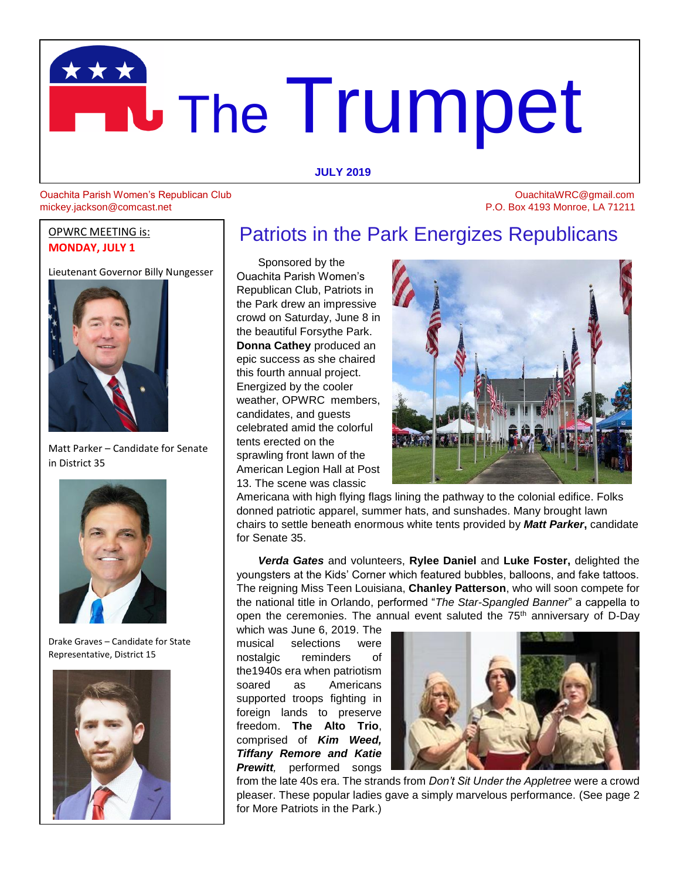# The Trumpet **JULY** 2019

# Ouachita Parish Women's Republican Club OuachitaWRC@gmail.com Mickey.jackson@comcast.net<br>
Mickey.jackson@comcast.net<br>
P.O. Box 4193 Monroe, LA 71211

#### OPWRC MEETING is: **MONDAY, JULY 1**

Lieutenant Governor Billy Nungesser



Matt Parker – Candidate for Senate in District 35



Drake Graves – Candidate for State Representative, District 15



## Patriots in the Park Energizes Republicans

 Sponsored by the Ouachita Parish Women's Republican Club, Patriots in the Park drew an impressive crowd on Saturday, June 8 in the beautiful Forsythe Park. **Donna Cathey** produced an epic success as she chaired this fourth annual project. Energized by the cooler weather, OPWRC members, candidates, and guests celebrated amid the colorful tents erected on the sprawling front lawn of the American Legion Hall at Post 13. The scene was classic



Americana with high flying flags lining the pathway to the colonial edifice. Folks donned patriotic apparel, summer hats, and sunshades. Many brought lawn chairs to settle beneath enormous white tents provided by *Matt Parker***,** candidate for Senate 35.

 *Verda Gates* and volunteers, **Rylee Daniel** and **Luke Foster,** delighted the youngsters at the Kids' Corner which featured bubbles, balloons, and fake tattoos. The reigning Miss Teen Louisiana, **Chanley Patterson**, who will soon compete for the national title in Orlando, performed "*The Star-Spangled Banner*" a cappella to open the ceremonies. The annual event saluted the 75<sup>th</sup> anniversary of D-Day

which was June 6, 2019. The musical selections were nostalgic reminders of the1940s era when patriotism soared as Americans supported troops fighting in foreign lands to preserve freedom. **The Alto Trio**, comprised of *Kim Weed, Tiffany Remore and Katie Prewitt,* performed songs



from the late 40s era. The strands from *Don't Sit Under the Appletree* were a crowd pleaser. These popular ladies gave a simply marvelous performance. (See page 2 for More Patriots in the Park.)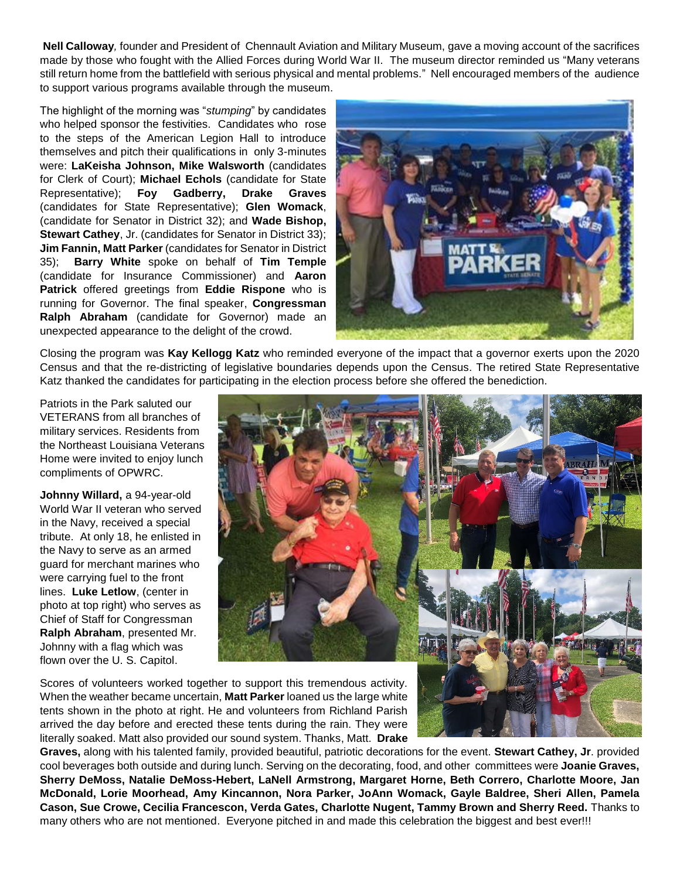**Nell Calloway***,* founder and President of Chennault Aviation and Military Museum, gave a moving account of the sacrifices made by those who fought with the Allied Forces during World War II. The museum director reminded us "Many veterans still return home from the battlefield with serious physical and mental problems." Nell encouraged members of the audience to support various programs available through the museum.

The highlight of the morning was "*stumping*" by candidates who helped sponsor the festivities. Candidates who rose to the steps of the American Legion Hall to introduce themselves and pitch their qualifications in only 3-minutes were: **LaKeisha Johnson, Mike Walsworth** (candidates for Clerk of Court); **Michael Echols** (candidate for State Representative); **Foy Gadberry, Drake Graves** (candidates for State Representative); **Glen Womack**, (candidate for Senator in District 32); and **Wade Bishop, Stewart Cathey, Jr. (candidates for Senator in District 33); Jim Fannin, Matt Parker** (candidates for Senator in District 35); **Barry White** spoke on behalf of **Tim Temple** (candidate for Insurance Commissioner) and **Aaron Patrick** offered greetings from **Eddie Rispone** who is running for Governor. The final speaker, **Congressman Ralph Abraham** (candidate for Governor) made an unexpected appearance to the delight of the crowd.



Closing the program was **Kay Kellogg Katz** who reminded everyone of the impact that a governor exerts upon the 2020 Census and that the re-districting of legislative boundaries depends upon the Census. The retired State Representative Katz thanked the candidates for participating in the election process before she offered the benediction.

Patriots in the Park saluted our VETERANS from all branches of military services. Residents from the Northeast Louisiana Veterans Home were invited to enjoy lunch compliments of OPWRC.

**Johnny Willard,** a 94-year-old World War II veteran who served in the Navy, received a special tribute. At only 18, he enlisted in the Navy to serve as an armed guard for merchant marines who were carrying fuel to the front lines. **Luke Letlow**, (center in photo at top right) who serves as Chief of Staff for Congressman **Ralph Abraham**, presented Mr. Johnny with a flag which was flown over the U. S. Capitol.



Scores of volunteers worked together to support this tremendous activity. When the weather became uncertain, **Matt Parker** loaned us the large white tents shown in the photo at right. He and volunteers from Richland Parish arrived the day before and erected these tents during the rain. They were literally soaked. Matt also provided our sound system. Thanks, Matt. **Drake** 

**Graves,** along with his talented family, provided beautiful, patriotic decorations for the event. **Stewart Cathey, Jr**. provided cool beverages both outside and during lunch. Serving on the decorating, food, and other committees were **Joanie Graves, Sherry DeMoss, Natalie DeMoss-Hebert, LaNell Armstrong, Margaret Horne, Beth Correro, Charlotte Moore, Jan McDonald, Lorie Moorhead, Amy Kincannon, Nora Parker, JoAnn Womack, Gayle Baldree, Sheri Allen, Pamela Cason, Sue Crowe, Cecilia Francescon, Verda Gates, Charlotte Nugent, Tammy Brown and Sherry Reed.** Thanks to many others who are not mentioned. Everyone pitched in and made this celebration the biggest and best ever!!!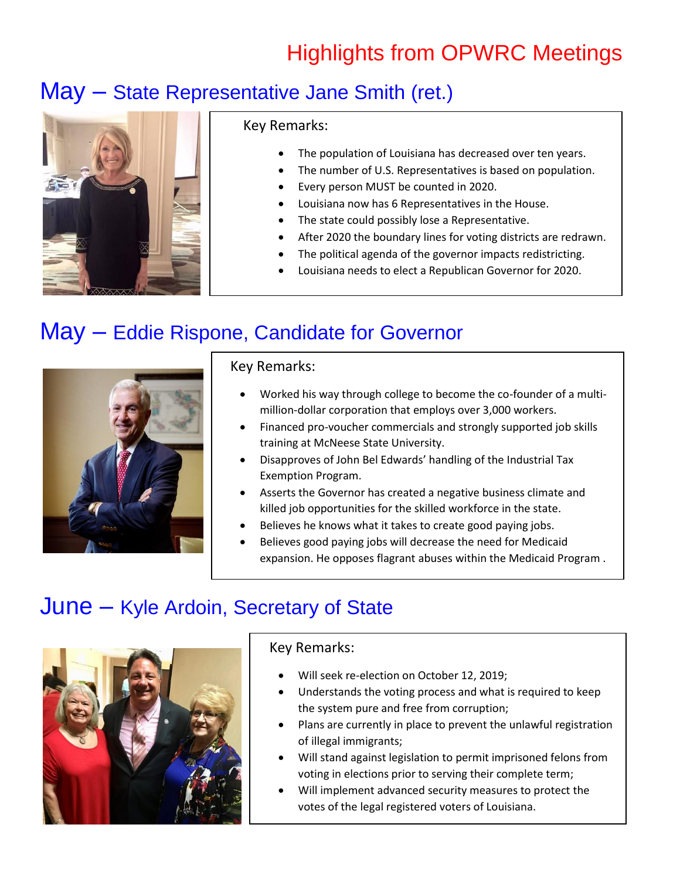## Highlights from OPWRC Meetings

## May – State Representative Jane Smith (ret.)



#### Key Remarks:

- The population of Louisiana has decreased over ten years.
- The number of U.S. Representatives is based on population.
- Every person MUST be counted in 2020.
- Louisiana now has 6 Representatives in the House.
- The state could possibly lose a Representative.
- After 2020 the boundary lines for voting districts are redrawn.
- The political agenda of the governor impacts redistricting.
- Louisiana needs to elect a Republican Governor for 2020.

## May – Eddie Rispone, Candidate for Governor



## Key Remarks:

- Worked his way through college to become the co-founder of a multimillion-dollar corporation that employs over 3,000 workers.
- Financed pro-voucher commercials and strongly supported job skills training at McNeese State University.
- Disapproves of John Bel Edwards' handling of the Industrial Tax Exemption Program.
- Asserts the Governor has created a negative business climate and killed job opportunities for the skilled workforce in the state.
- Believes he knows what it takes to create good paying jobs.
- Believes good paying jobs will decrease the need for Medicaid expansion. He opposes flagrant abuses within the Medicaid Program .

## June – Kyle Ardoin, Secretary of State



## Key Remarks:

- Will seek re-election on October 12, 2019;
- Understands the voting process and what is required to keep the system pure and free from corruption;
- Plans are currently in place to prevent the unlawful registration of illegal immigrants;
- Will stand against legislation to permit imprisoned felons from voting in elections prior to serving their complete term;
- Will implement advanced security measures to protect the votes of the legal registered voters of Louisiana.